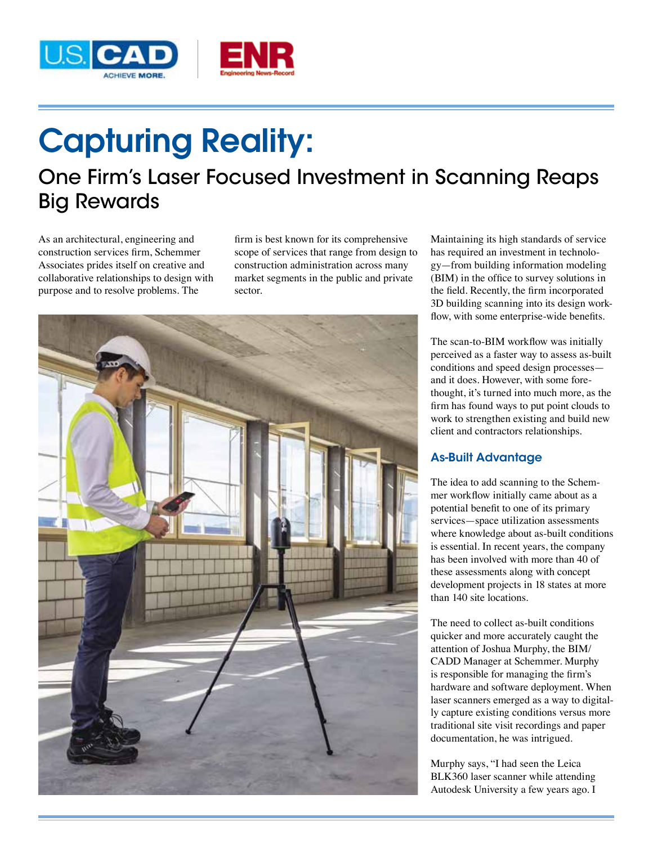

# Capturing Reality:

# One Firm's Laser Focused Investment in Scanning Reaps Big Rewards

As an architectural, engineering and construction services firm, Schemmer Associates prides itself on creative and collaborative relationships to design with purpose and to resolve problems. The

firm is best known for its comprehensive scope of services that range from design to construction administration across many market segments in the public and private sector.



Maintaining its high standards of service has required an investment in technology—from building information modeling (BIM) in the office to survey solutions in the field. Recently, the firm incorporated 3D building scanning into its design workflow, with some enterprise-wide benefits.

The scan-to-BIM workflow was initially perceived as a faster way to assess as-built conditions and speed design processes and it does. However, with some forethought, it's turned into much more, as the firm has found ways to put point clouds to work to strengthen existing and build new client and contractors relationships.

## As-Built Advantage

The idea to add scanning to the Schemmer workflow initially came about as a potential benefit to one of its primary services—space utilization assessments where knowledge about as-built conditions is essential. In recent years, the company has been involved with more than 40 of these assessments along with concept development projects in 18 states at more than 140 site locations.

The need to collect as-built conditions quicker and more accurately caught the attention of Joshua Murphy, the BIM/ CADD Manager at Schemmer. Murphy is responsible for managing the firm's hardware and software deployment. When laser scanners emerged as a way to digitally capture existing conditions versus more traditional site visit recordings and paper documentation, he was intrigued.

Murphy says, "I had seen the Leica BLK360 laser scanner while attending Autodesk University a few years ago. I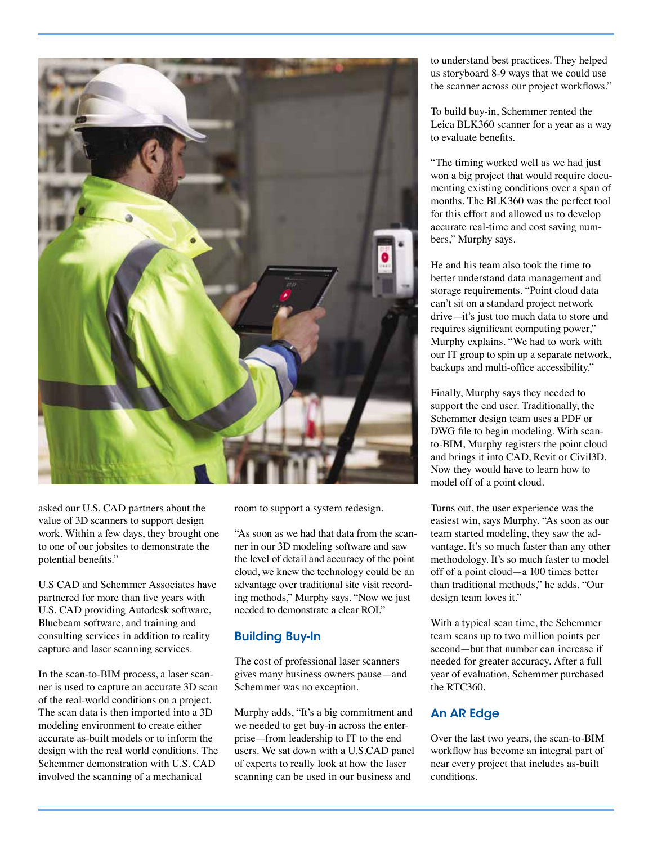

asked our U.S. CAD partners about the value of 3D scanners to support design work. Within a few days, they brought one to one of our jobsites to demonstrate the potential benefits."

U.S CAD and Schemmer Associates have partnered for more than five years with U.S. CAD providing Autodesk software, Bluebeam software, and training and consulting services in addition to reality capture and laser scanning services.

In the scan-to-BIM process, a laser scanner is used to capture an accurate 3D scan of the real-world conditions on a project. The scan data is then imported into a 3D modeling environment to create either accurate as-built models or to inform the design with the real world conditions. The Schemmer demonstration with U.S. CAD involved the scanning of a mechanical

room to support a system redesign.

"As soon as we had that data from the scanner in our 3D modeling software and saw the level of detail and accuracy of the point cloud, we knew the technology could be an advantage over traditional site visit recording methods," Murphy says. "Now we just needed to demonstrate a clear ROI."

#### Building Buy-In

The cost of professional laser scanners gives many business owners pause—and Schemmer was no exception.

Murphy adds, "It's a big commitment and we needed to get buy-in across the enterprise—from leadership to IT to the end users. We sat down with a U.S.CAD panel of experts to really look at how the laser scanning can be used in our business and

to understand best practices. They helped us storyboard 8-9 ways that we could use the scanner across our project workflows."

To build buy-in, Schemmer rented the Leica BLK360 scanner for a year as a way to evaluate benefits.

"The timing worked well as we had just won a big project that would require documenting existing conditions over a span of months. The BLK360 was the perfect tool for this effort and allowed us to develop accurate real-time and cost saving numbers," Murphy says.

He and his team also took the time to better understand data management and storage requirements. "Point cloud data can't sit on a standard project network drive—it's just too much data to store and requires significant computing power," Murphy explains. "We had to work with our IT group to spin up a separate network, backups and multi-office accessibility."

Finally, Murphy says they needed to support the end user. Traditionally, the Schemmer design team uses a PDF or DWG file to begin modeling. With scanto-BIM, Murphy registers the point cloud and brings it into CAD, Revit or Civil3D. Now they would have to learn how to model off of a point cloud.

Turns out, the user experience was the easiest win, says Murphy. "As soon as our team started modeling, they saw the advantage. It's so much faster than any other methodology. It's so much faster to model off of a point cloud—a 100 times better than traditional methods," he adds. "Our design team loves it."

With a typical scan time, the Schemmer team scans up to two million points per second—but that number can increase if needed for greater accuracy. After a full year of evaluation, Schemmer purchased the RTC360.

### An AR Edge

Over the last two years, the scan-to-BIM workflow has become an integral part of near every project that includes as-built conditions.